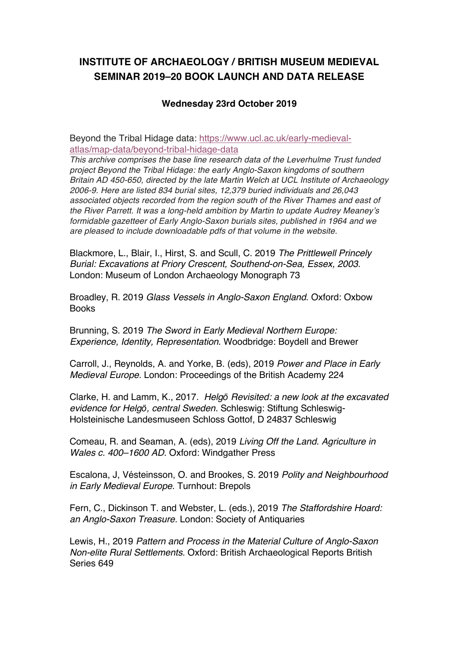## **INSTITUTE OF ARCHAEOLOGY / BRITISH MUSEUM MEDIEVAL SEMINAR 2019–20 BOOK LAUNCH AND DATA RELEASE**

## **Wednesday 23rd October 2019**

Beyond the Tribal Hidage data: https://www.ucl.ac.uk/early-medievalatlas/map-data/beyond-tribal-hidage-data

*This archive comprises the base line research data of the Leverhulme Trust funded project Beyond the Tribal Hidage: the early Anglo-Saxon kingdoms of southern Britain AD 450-650, directed by the late Martin Welch at UCL Institute of Archaeology 2006-9. Here are listed 834 burial sites, 12,379 buried individuals and 26,043 associated objects recorded from the region south of the River Thames and east of the River Parrett. It was a long-held ambition by Martin to update Audrey Meaney's formidable gazetteer of Early Anglo-Saxon burials sites, published in 1964 and we are pleased to include downloadable pdfs of that volume in the website.*

Blackmore, L., Blair, I., Hirst, S. and Scull, C. 2019 *The Prittlewell Princely Burial: Excavations at Priory Crescent, Southend-on-Sea, Essex, 2003*. London: Museum of London Archaeology Monograph 73

Broadley, R. 2019 *Glass Vessels in Anglo-Saxon England*. Oxford: Oxbow **Books** 

Brunning, S. 2019 *The Sword in Early Medieval Northern Europe: Experience, Identity, Representation*. Woodbridge: Boydell and Brewer

Carroll, J., Reynolds, A. and Yorke, B. (eds), 2019 *Power and Place in Early Medieval Europe*. London: Proceedings of the British Academy 224

Clarke, H. and Lamm, K., 2017. *Helg*ӧ *Revisited: a new look at the excavated evidence for Helg*ӧ*, central Sweden.* Schleswig: Stiftung Schleswig-Holsteinische Landesmuseen Schloss Gottof, D 24837 Schleswig

Comeau, R. and Seaman, A. (eds), 2019 *Living Off the Land. Agriculture in Wales c. 400–1600 AD*. Oxford: Windgather Press

Escalona, J, Vésteinsson, O. and Brookes, S. 2019 *Polity and Neighbourhood in Early Medieval Europe*. Turnhout: Brepols

Fern, C., Dickinson T. and Webster, L. (eds.), 2019 *The Staffordshire Hoard: an Anglo-Saxon Treasure.* London: Society of Antiquaries

Lewis, H., 2019 *Pattern and Process in the Material Culture of Anglo-Saxon Non-elite Rural Settlements*. Oxford: British Archaeological Reports British Series 649